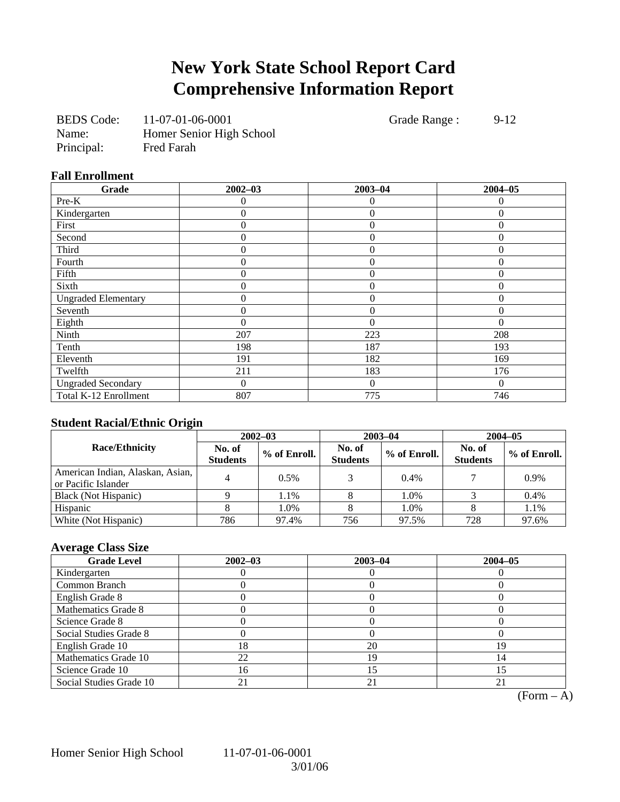# **New York State School Report Card Comprehensive Information Report**

| <b>BEDS</b> Code: | 11-07-01-06-0001         |
|-------------------|--------------------------|
| Name:             | Homer Senior High School |
| Principal:        | <b>Fred Farah</b>        |

Grade Range : 9-12

### **Fall Enrollment**

| Grade                      | $2002 - 03$      | $2003 - 04$    | $2004 - 05$    |
|----------------------------|------------------|----------------|----------------|
| Pre-K                      | 0                | $\theta$       | 0              |
| Kindergarten               | 0                | $\overline{0}$ | $\Omega$       |
| First                      | 0                | $\overline{0}$ | $\Omega$       |
| Second                     | 0                | $\overline{0}$ | $\Omega$       |
| Third                      | 0                | $\theta$       | $\Omega$       |
| Fourth                     | 0                | $\overline{0}$ | $\theta$       |
| Fifth                      | $\boldsymbol{0}$ | $\overline{0}$ | $\Omega$       |
| Sixth                      | 0                | $\overline{0}$ | $\theta$       |
| <b>Ungraded Elementary</b> | 0                | $\overline{0}$ | $\overline{0}$ |
| Seventh                    | 0                | $\overline{0}$ | $\Omega$       |
| Eighth                     | 0                | $\theta$       | $\Omega$       |
| Ninth                      | 207              | 223            | 208            |
| Tenth                      | 198              | 187            | 193            |
| Eleventh                   | 191              | 182            | 169            |
| Twelfth                    | 211              | 183            | 176            |
| <b>Ungraded Secondary</b>  | 0                | $\theta$       | $\Omega$       |
| Total K-12 Enrollment      | 807              | 775            | 746            |

### **Student Racial/Ethnic Origin**

|                                                         | $2002 - 03$               |              |                           | $2003 - 04$  | $2004 - 05$               |              |  |
|---------------------------------------------------------|---------------------------|--------------|---------------------------|--------------|---------------------------|--------------|--|
| <b>Race/Ethnicity</b>                                   | No. of<br><b>Students</b> | % of Enroll. | No. of<br><b>Students</b> | % of Enroll. | No. of<br><b>Students</b> | % of Enroll. |  |
| American Indian, Alaskan, Asian,<br>or Pacific Islander |                           | 0.5%         |                           | 0.4%         |                           | 0.9%         |  |
| Black (Not Hispanic)                                    |                           | 1.1%         |                           | 1.0%         |                           | 0.4%         |  |
| Hispanic                                                |                           | 1.0%         |                           | 1.0%         |                           | 1.1%         |  |
| White (Not Hispanic)                                    | 786                       | 97.4%        | 756                       | 97.5%        | 728                       | 97.6%        |  |

### **Average Class Size**

| <b>Grade Level</b>      | $2002 - 03$ | $2003 - 04$ | $2004 - 05$ |
|-------------------------|-------------|-------------|-------------|
| Kindergarten            |             |             |             |
| Common Branch           |             |             |             |
| English Grade 8         |             |             |             |
| Mathematics Grade 8     |             |             |             |
| Science Grade 8         |             |             |             |
| Social Studies Grade 8  |             |             |             |
| English Grade 10        | 18          | 20          |             |
| Mathematics Grade 10    | 22          | 19          | 14          |
| Science Grade 10        | 16          |             |             |
| Social Studies Grade 10 |             | 21          |             |

 $(Form - A)$ 

Homer Senior High School 11-07-01-06-0001

3/01/06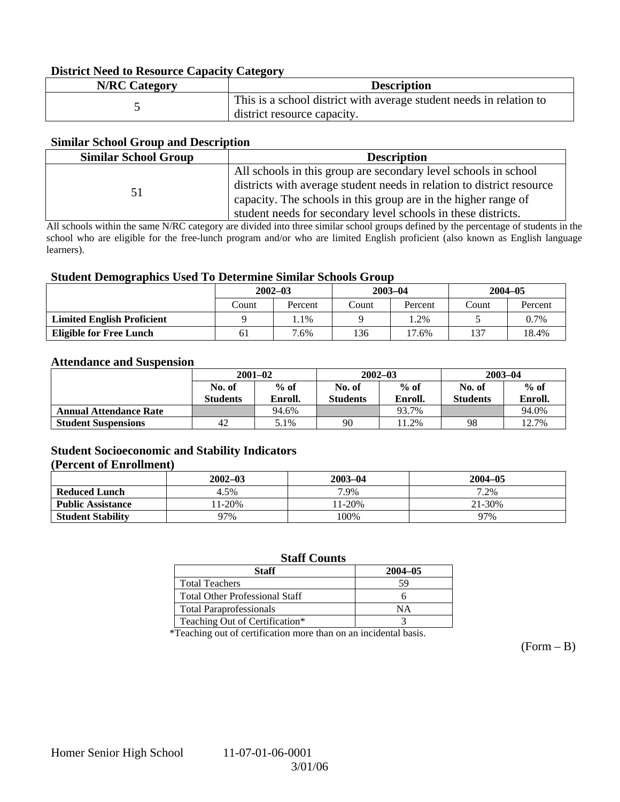### **District Need to Resource Capacity Category**

| <b>N/RC Category</b> | <b>Description</b>                                                  |
|----------------------|---------------------------------------------------------------------|
|                      | This is a school district with average student needs in relation to |
|                      | district resource capacity.                                         |

### **Similar School Group and Description**

| <b>Similar School Group</b> | <b>Description</b>                                                                                                                                                                                                                                                          |
|-----------------------------|-----------------------------------------------------------------------------------------------------------------------------------------------------------------------------------------------------------------------------------------------------------------------------|
| 51                          | All schools in this group are secondary level schools in school<br>districts with average student needs in relation to district resource<br>capacity. The schools in this group are in the higher range of<br>student needs for secondary level schools in these districts. |

All schools within the same N/RC category are divided into three similar school groups defined by the percentage of students in the school who are eligible for the free-lunch program and/or who are limited English proficient (also known as English language learners).

### **Student Demographics Used To Determine Similar Schools Group**

| ີ                                 | $2002 - 03$<br>Count<br>Percent |      | $2003 - 04$ |         | $2004 - 05$ |         |
|-----------------------------------|---------------------------------|------|-------------|---------|-------------|---------|
|                                   |                                 |      | Count       | Percent | Count       | Percent |
| <b>Limited English Proficient</b> |                                 | 1.1% |             | $.2\%$  |             | 0.7%    |
| <b>Eligible for Free Lunch</b>    | 61<br>7.6%                      |      | 136         | 17.6%   | 137         | 18.4%   |

#### **Attendance and Suspension**

|                               | $2001 - 02$               |                   |                           | $2002 - 03$       | $2003 - 04$               |                   |
|-------------------------------|---------------------------|-------------------|---------------------------|-------------------|---------------------------|-------------------|
|                               | No. of<br><b>Students</b> | $%$ of<br>Enroll. | No. of<br><b>Students</b> | $%$ of<br>Enroll. | No. of<br><b>Students</b> | $%$ of<br>Enroll. |
| <b>Annual Attendance Rate</b> |                           | 94.6%             |                           | 93.7%             |                           | 94.0%             |
| <b>Student Suspensions</b>    | 42                        | 5.1%              | 90                        | 1.2%              | 98                        | 12.7%             |

### **Student Socioeconomic and Stability Indicators**

#### **(Percent of Enrollment)**

|                          | $2002 - 03$ | $2003 - 04$ | $2004 - 05$ |
|--------------------------|-------------|-------------|-------------|
| <b>Reduced Lunch</b>     | 4.5%        | 7.9%        | 7.2%        |
| <b>Public Assistance</b> | 11-20%      | $1 - 20%$   | 21-30%      |
| <b>Student Stability</b> | 97%         | 100%        | 97%         |

### **Staff Counts**

| Staff                                 | $2004 - 05$ |
|---------------------------------------|-------------|
| <b>Total Teachers</b>                 | 59          |
| <b>Total Other Professional Staff</b> |             |
| <b>Total Paraprofessionals</b>        | NΑ          |
| Teaching Out of Certification*        |             |

\*Teaching out of certification more than on an incidental basis.

 $(Form - B)$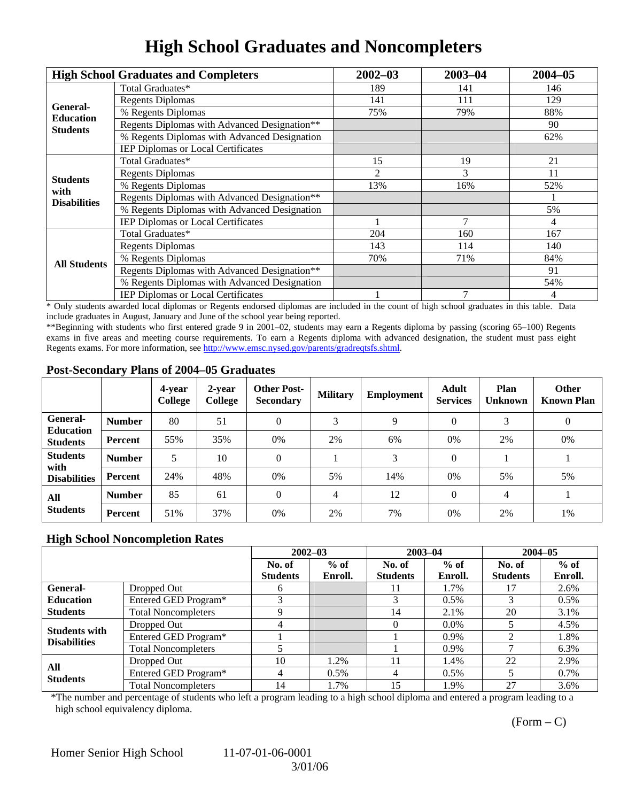## **High School Graduates and Noncompleters**

|                         | <b>High School Graduates and Completers</b>  | $2002 - 03$ | $2003 - 04$    | $2004 - 05$ |
|-------------------------|----------------------------------------------|-------------|----------------|-------------|
| General-                | Total Graduates*                             | 189         | 141            | 146         |
|                         | <b>Regents Diplomas</b>                      | 141         | 111            | 129         |
| <b>Education</b>        | % Regents Diplomas                           | 75%         | 79%            | 88%         |
| <b>Students</b>         | Regents Diplomas with Advanced Designation** |             |                | 90          |
|                         | % Regents Diplomas with Advanced Designation |             |                | 62%         |
|                         | IEP Diplomas or Local Certificates           |             |                |             |
|                         | Total Graduates*                             | 15          | 19             | 21          |
|                         | <b>Regents Diplomas</b>                      | 2           | 3              | 11          |
| <b>Students</b><br>with | % Regents Diplomas                           | 13%         | 16%            | 52%         |
| <b>Disabilities</b>     | Regents Diplomas with Advanced Designation** |             |                |             |
|                         | % Regents Diplomas with Advanced Designation |             |                | 5%          |
|                         | IEP Diplomas or Local Certificates           |             |                | 4           |
|                         | Total Graduates*                             | 204         | 160            | 167         |
|                         | <b>Regents Diplomas</b>                      | 143         | 114            | 140         |
| <b>All Students</b>     | % Regents Diplomas                           | 70%         | 71%            | 84%         |
|                         | Regents Diplomas with Advanced Designation** |             |                | 91          |
|                         | % Regents Diplomas with Advanced Designation |             |                | 54%         |
|                         | <b>IEP Diplomas or Local Certificates</b>    |             | $\overline{7}$ | 4           |

\* Only students awarded local diplomas or Regents endorsed diplomas are included in the count of high school graduates in this table. Data include graduates in August, January and June of the school year being reported.

\*\*Beginning with students who first entered grade 9 in 2001–02, students may earn a Regents diploma by passing (scoring 65–100) Regents exams in five areas and meeting course requirements. To earn a Regents diploma with advanced designation, the student must pass eight Regents exams. For more information, see http://www.emsc.nysed.gov/parents/gradreqtsfs.shtml.

### **Post-Secondary Plans of 2004–05 Graduates**

|                                     |                | 4-year<br>College | 2-year<br>College | <b>Other Post-</b><br><b>Secondary</b> | <b>Military</b> | Employment | Adult<br><b>Services</b> | Plan<br><b>Unknown</b> | <b>Other</b><br><b>Known Plan</b> |
|-------------------------------------|----------------|-------------------|-------------------|----------------------------------------|-----------------|------------|--------------------------|------------------------|-----------------------------------|
| <b>General-</b>                     | <b>Number</b>  | 80                | 51                | 0                                      | 3               | 9          | $\Omega$                 | 3                      | $\theta$                          |
| <b>Education</b><br><b>Students</b> | <b>Percent</b> | 55%               | 35%               | 0%                                     | 2%              | 6%         | 0%                       | 2%                     | 0%                                |
| <b>Students</b><br>with             | <b>Number</b>  | 5                 | 10                | 0                                      |                 | 3          | $\Omega$                 |                        |                                   |
| <b>Disabilities</b>                 | Percent        | 24%               | 48%               | 0%                                     | 5%              | 14%        | 0%                       | 5%                     | 5%                                |
| All<br><b>Students</b>              | <b>Number</b>  | 85                | 61                | 0                                      | 4               | 12         | $\Omega$                 | 4                      |                                   |
|                                     | <b>Percent</b> | 51%               | 37%               | 0%                                     | 2%              | 7%         | 0%                       | 2%                     | 1%                                |

### **High School Noncompletion Rates**

|                      |                            |                 | $2002 - 03$ | $2003 - 04$     |         |                 | $2004 - 05$ |
|----------------------|----------------------------|-----------------|-------------|-----------------|---------|-----------------|-------------|
|                      |                            | No. of          | $%$ of      | No. of          | $%$ of  | No. of          | $%$ of      |
|                      |                            | <b>Students</b> | Enroll.     | <b>Students</b> | Enroll. | <b>Students</b> | Enroll.     |
| General-             | Dropped Out                | 6               |             | 11              | 1.7%    |                 | 2.6%        |
| <b>Education</b>     | Entered GED Program*       |                 |             |                 | 0.5%    |                 | $0.5\%$     |
| <b>Students</b>      | <b>Total Noncompleters</b> | Q               |             | 14              | 2.1%    | 20              | 3.1%        |
| <b>Students with</b> | Dropped Out                |                 |             |                 | $0.0\%$ |                 | 4.5%        |
| <b>Disabilities</b>  | Entered GED Program*       |                 |             |                 | $0.9\%$ |                 | 1.8%        |
|                      | <b>Total Noncompleters</b> |                 |             |                 | 0.9%    |                 | 6.3%        |
|                      | Dropped Out                | 10              | 1.2%        | 11              | 1.4%    | 22              | 2.9%        |
| All                  | Entered GED Program*       | 4               | $0.5\%$     | 4               | $0.5\%$ |                 | $0.7\%$     |
| <b>Students</b>      | <b>Total Noncompleters</b> | 14              | 1.7%        | 15              | 1.9%    | 27              | 3.6%        |

\*The number and percentage of students who left a program leading to a high school diploma and entered a program leading to a high school equivalency diploma.

 $(Form - C)$ 

Homer Senior High School 11-07-01-06-0001

3/01/06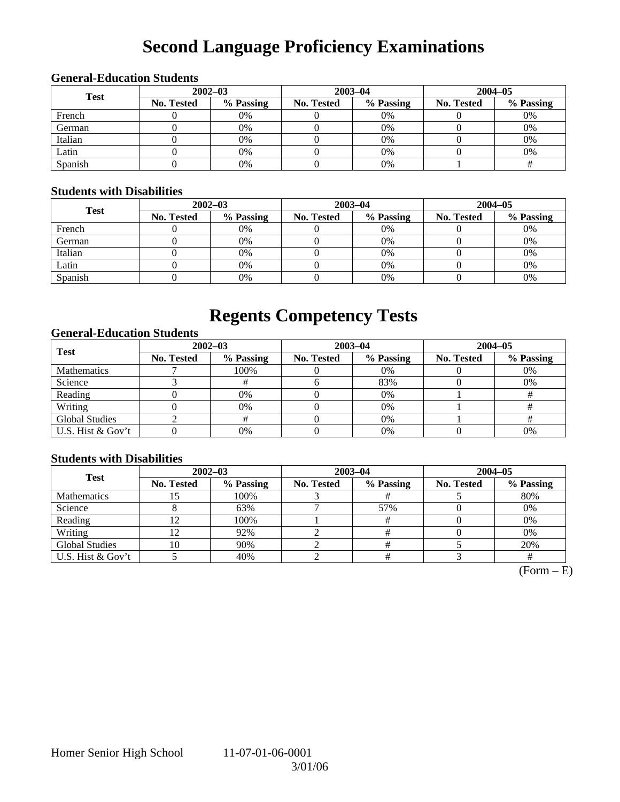# **Second Language Proficiency Examinations**

### **General-Education Students**

| <b>Test</b> |                   | $2002 - 03$ |            | $2003 - 04$ | $2004 - 05$       |           |  |
|-------------|-------------------|-------------|------------|-------------|-------------------|-----------|--|
|             | <b>No. Tested</b> | % Passing   | No. Tested | % Passing   | <b>No. Tested</b> | % Passing |  |
| French      |                   | 0%          |            | 0%          |                   | 0%        |  |
| German      |                   | 0%          |            | 0%          |                   | 0%        |  |
| Italian     |                   | 0%          |            | 0%          |                   | 0%        |  |
| Latin       |                   | 0%          |            | 0%          |                   | 0%        |  |
| Spanish     |                   | 0%          |            | 0%          |                   |           |  |

### **Students with Disabilities**

| <b>Test</b> |            |                                                                                                    |           |                   | $2004 - 05$ |    |  |
|-------------|------------|----------------------------------------------------------------------------------------------------|-----------|-------------------|-------------|----|--|
|             | No. Tested | $2002 - 03$<br>$2003 - 04$<br>% Passing<br>No. Tested<br>$0\%$<br>0%<br>0%<br>$0\%$<br>0%<br>$0\%$ | % Passing | <b>No. Tested</b> | % Passing   |    |  |
| French      |            |                                                                                                    |           |                   |             | 0% |  |
| German      |            |                                                                                                    |           |                   |             | 0% |  |
| Italian     |            |                                                                                                    |           |                   |             | 0% |  |
| Latin       |            | 0%                                                                                                 |           | $0\%$             |             | 0% |  |
| Spanish     |            | 0%                                                                                                 |           | 0%                |             | 0% |  |

## **Regents Competency Tests**

### **General-Education Students**

| <b>Test</b>        |                   | $2002 - 03$ |            | $2003 - 04$ | $2004 - 05$ |           |  |
|--------------------|-------------------|-------------|------------|-------------|-------------|-----------|--|
|                    | <b>No. Tested</b> | % Passing   | No. Tested | % Passing   | No. Tested  | % Passing |  |
| <b>Mathematics</b> |                   | 100%        |            | 0%          |             | 0%        |  |
| Science            |                   |             |            | 83%         |             | 0%        |  |
| Reading            |                   | 0%          |            | 0%          |             |           |  |
| Writing            |                   | 0%          |            | 0%          |             |           |  |
| Global Studies     |                   |             |            | 0%          |             |           |  |
| U.S. Hist & Gov't  |                   | 0%          |            | $0\%$       |             | 0%        |  |

### **Students with Disabilities**

| <b>Test</b>           | $2002 - 03$ |           | $2003 - 04$ |           | $2004 - 05$ |           |  |
|-----------------------|-------------|-----------|-------------|-----------|-------------|-----------|--|
|                       | No. Tested  | % Passing | No. Tested  | % Passing | No. Tested  | % Passing |  |
| <b>Mathematics</b>    |             | 100%      |             |           |             | 80%       |  |
| Science               |             | 63%       |             | 57%       |             | 0%        |  |
| Reading               |             | 100%      |             |           |             | 0%        |  |
| Writing               |             | 92%       |             |           |             | 0%        |  |
| <b>Global Studies</b> | 0           | 90%       |             |           |             | 20%       |  |
| U.S. Hist & Gov't     |             | 40%       |             |           |             |           |  |

 $\overline{\text{(Form - E)}}$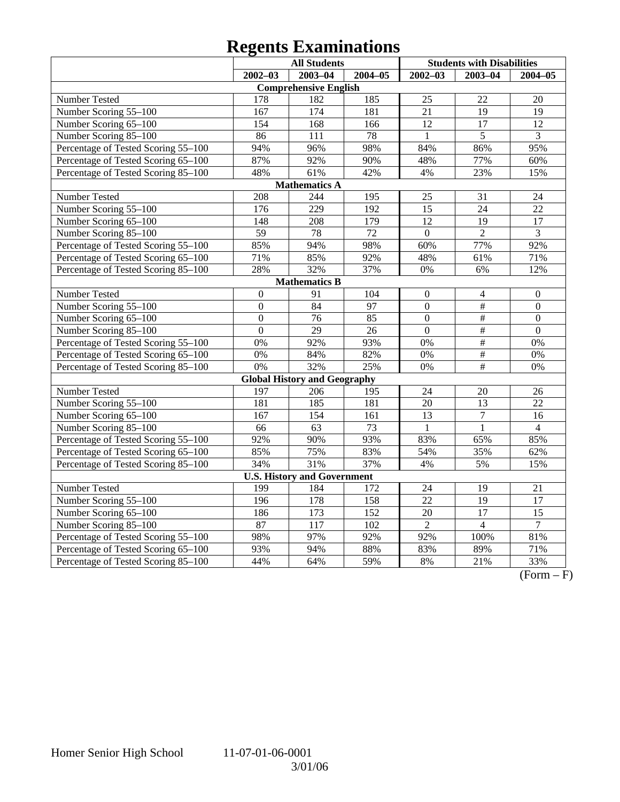# **Regents Examinations**

|                                     | <b>All Students</b> |                                     |                  | <b>Students with Disabilities</b> |                          |                  |  |  |  |  |  |
|-------------------------------------|---------------------|-------------------------------------|------------------|-----------------------------------|--------------------------|------------------|--|--|--|--|--|
|                                     | $2002 - 03$         | $2003 - 04$                         | $2004 - 05$      | $2002 - 03$                       | $2003 - 04$              | 2004-05          |  |  |  |  |  |
| <b>Comprehensive English</b>        |                     |                                     |                  |                                   |                          |                  |  |  |  |  |  |
| Number Tested                       | 178                 | 182                                 | 185              | 25                                | 22                       | 20               |  |  |  |  |  |
| Number Scoring 55-100               | 167                 | $\overline{174}$                    | 181              | $\overline{21}$                   | $\overline{19}$          | $\overline{19}$  |  |  |  |  |  |
| Number Scoring 65-100               | 154                 | 168                                 | 166              | $\overline{12}$                   | $\overline{17}$          | 12               |  |  |  |  |  |
| Number Scoring 85-100               | 86                  | 111                                 | 78               | $\mathbf{1}$                      | $\overline{5}$           | 3                |  |  |  |  |  |
| Percentage of Tested Scoring 55-100 | 94%                 | 96%                                 | 98%              | 84%                               | 86%                      | 95%              |  |  |  |  |  |
| Percentage of Tested Scoring 65-100 | 87%                 | 92%                                 | 90%              | 48%                               | 77%                      | 60%              |  |  |  |  |  |
| Percentage of Tested Scoring 85-100 | 48%                 | 61%                                 | 42%              | 4%                                | 23%                      | 15%              |  |  |  |  |  |
|                                     |                     | <b>Mathematics A</b>                |                  |                                   |                          |                  |  |  |  |  |  |
| Number Tested                       | 208                 | 244                                 | 195              | 25                                | 31                       | 24               |  |  |  |  |  |
| Number Scoring 55-100               | 176                 | $\overline{229}$                    | 192              | 15                                | 24                       | 22               |  |  |  |  |  |
| Number Scoring 65-100               | 148                 | 208                                 | 179              | 12                                | 19                       | 17               |  |  |  |  |  |
| Number Scoring 85-100               | $\overline{59}$     | 78                                  | 72               | $\overline{0}$                    | $\overline{2}$           | 3                |  |  |  |  |  |
| Percentage of Tested Scoring 55-100 | 85%                 | 94%                                 | 98%              | 60%                               | 77%                      | 92%              |  |  |  |  |  |
| Percentage of Tested Scoring 65-100 | 71%                 | 85%                                 | 92%              | 48%                               | 61%                      | 71%              |  |  |  |  |  |
| Percentage of Tested Scoring 85-100 | 28%                 | 32%                                 | 37%              | 0%                                | 6%                       | 12%              |  |  |  |  |  |
| <b>Mathematics B</b>                |                     |                                     |                  |                                   |                          |                  |  |  |  |  |  |
| Number Tested                       | $\boldsymbol{0}$    | 91                                  | 104              | $\boldsymbol{0}$                  | $\overline{\mathcal{L}}$ | $\boldsymbol{0}$ |  |  |  |  |  |
| Number Scoring 55-100               | $\mathbf{0}$        | 84                                  | 97               | $\overline{0}$                    | #                        | $\overline{0}$   |  |  |  |  |  |
| Number Scoring 65-100               | $\mathbf{0}$        | 76                                  | 85               | $\Omega$                          | $\#$                     | $\Omega$         |  |  |  |  |  |
| Number Scoring 85-100               | $\overline{0}$      | $\overline{29}$                     | 26               | $\overline{0}$                    | $\overline{\#}$          | $\overline{0}$   |  |  |  |  |  |
| Percentage of Tested Scoring 55-100 | $0\%$               | 92%                                 | 93%              | $\overline{0\%}$                  | $\#$                     | $\overline{0\%}$ |  |  |  |  |  |
| Percentage of Tested Scoring 65-100 | 0%                  | 84%                                 | 82%              | 0%                                | $\overline{\#}$          | 0%               |  |  |  |  |  |
| Percentage of Tested Scoring 85-100 | 0%                  | 32%                                 | 25%              | 0%                                | $\#$                     | 0%               |  |  |  |  |  |
|                                     |                     | <b>Global History and Geography</b> |                  |                                   |                          |                  |  |  |  |  |  |
| Number Tested                       | 197                 | 206                                 | 195              | $\overline{24}$                   | 20                       | 26               |  |  |  |  |  |
| Number Scoring 55-100               | 181                 | 185                                 | 181              | 20                                | $\overline{13}$          | 22               |  |  |  |  |  |
| Number Scoring 65-100               | 167                 | 154                                 | 161              | $\overline{13}$                   | $\overline{7}$           | 16               |  |  |  |  |  |
| Number Scoring 85-100               | 66                  | 63                                  | 73               | $\mathbf{1}$                      | $\mathbf{1}$             | $\overline{4}$   |  |  |  |  |  |
| Percentage of Tested Scoring 55-100 | 92%                 | 90%                                 | 93%              | 83%                               | 65%                      | 85%              |  |  |  |  |  |
| Percentage of Tested Scoring 65-100 | 85%                 | 75%                                 | 83%              | 54%                               | 35%                      | 62%              |  |  |  |  |  |
| Percentage of Tested Scoring 85-100 | 34%                 | 31%                                 | 37%              | 4%                                | 5%                       | 15%              |  |  |  |  |  |
| <b>U.S. History and Government</b>  |                     |                                     |                  |                                   |                          |                  |  |  |  |  |  |
| <b>Number Tested</b>                | 199                 | 184                                 | 172              | 24                                | 19                       | 21               |  |  |  |  |  |
| Number Scoring 55-100               | 196                 | 178                                 | 158              | $\overline{22}$                   | $\overline{19}$          | 17               |  |  |  |  |  |
| Number Scoring 65-100               | 186                 | 173                                 | 152              | 20                                | 17                       | 15               |  |  |  |  |  |
| Number Scoring 85-100               | 87                  | $\overline{117}$                    | $\overline{102}$ | $\overline{2}$                    | $\overline{4}$           | $\tau$           |  |  |  |  |  |
| Percentage of Tested Scoring 55-100 | 98%                 | 97%                                 | 92%              | 92%                               | 100%                     | 81%              |  |  |  |  |  |
| Percentage of Tested Scoring 65-100 | 93%                 | 94%                                 | 88%              | 83%                               | 89%                      | 71%              |  |  |  |  |  |
| Percentage of Tested Scoring 85-100 | 44%                 | 64%                                 | 59%              | 8%                                | 21%                      | 33%              |  |  |  |  |  |

 $\overline{(Form - F)}$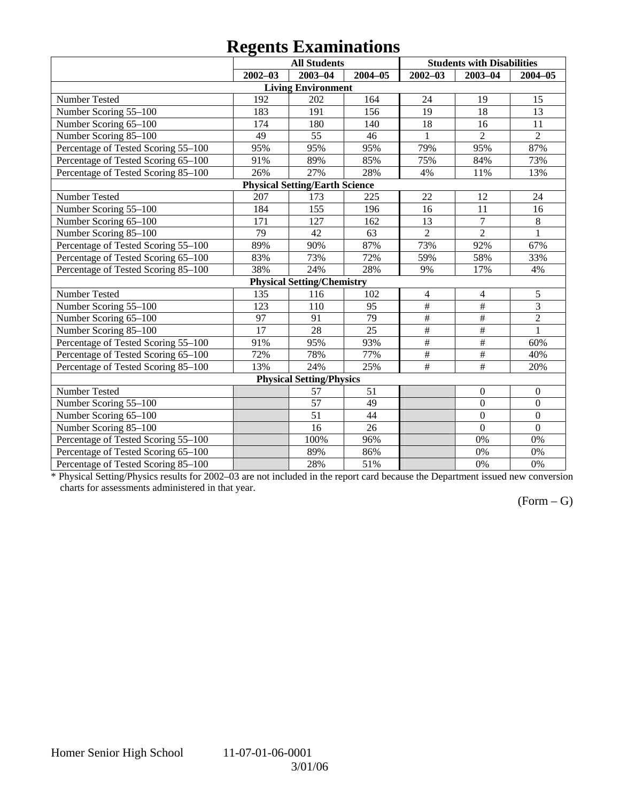## **Regents Examinations**

|                                     | o<br><b>All Students</b> |                                       |             |                         | <b>Students with Disabilities</b> |                  |  |  |  |  |
|-------------------------------------|--------------------------|---------------------------------------|-------------|-------------------------|-----------------------------------|------------------|--|--|--|--|
|                                     | $2002 - 03$              | $2003 - 04$                           | $2004 - 05$ | $2002 - 03$             | $2003 - 04$                       | $2004 - 05$      |  |  |  |  |
| <b>Living Environment</b>           |                          |                                       |             |                         |                                   |                  |  |  |  |  |
| Number Tested                       | 192                      | 202                                   | 164         | 24                      | 19                                | 15               |  |  |  |  |
| Number Scoring 55-100               | 183                      | 191                                   | 156         | 19                      | 18                                | 13               |  |  |  |  |
| Number Scoring 65-100               | 174                      | 180                                   | 140         | 18                      | 16                                | 11               |  |  |  |  |
| Number Scoring 85-100               | 49                       | 55                                    | 46          | $\mathbf{1}$            | $\overline{2}$                    | $\overline{2}$   |  |  |  |  |
| Percentage of Tested Scoring 55-100 | 95%                      | 95%                                   | 95%         | 79%                     | 95%                               | 87%              |  |  |  |  |
| Percentage of Tested Scoring 65-100 | 91%                      | 89%                                   | 85%         | 75%                     | 84%                               | 73%              |  |  |  |  |
| Percentage of Tested Scoring 85-100 | 26%                      | 27%                                   | 28%         | 4%                      | 11%                               | 13%              |  |  |  |  |
|                                     |                          | <b>Physical Setting/Earth Science</b> |             |                         |                                   |                  |  |  |  |  |
| Number Tested                       | 207                      | 173                                   | 225         | 22                      | 12                                | 24               |  |  |  |  |
| Number Scoring 55-100               | 184                      | 155                                   | 196         | 16                      | 11                                | 16               |  |  |  |  |
| Number Scoring 65-100               | 171                      | 127                                   | 162         | 13                      | $\overline{7}$                    | 8                |  |  |  |  |
| Number Scoring 85-100               | 79                       | 42                                    | 63          | $\overline{2}$          | $\overline{2}$                    | $\overline{1}$   |  |  |  |  |
| Percentage of Tested Scoring 55-100 | 89%                      | 90%                                   | 87%         | 73%                     | 92%                               | 67%              |  |  |  |  |
| Percentage of Tested Scoring 65-100 | 83%                      | 73%                                   | 72%         | 59%                     | 58%                               | 33%              |  |  |  |  |
| Percentage of Tested Scoring 85-100 | 38%                      | 24%                                   | 28%         | 9%                      | 17%                               | 4%               |  |  |  |  |
|                                     |                          | <b>Physical Setting/Chemistry</b>     |             |                         |                                   |                  |  |  |  |  |
| Number Tested                       | 135                      | 116                                   | 102         | $\overline{\mathbf{4}}$ | $\overline{\mathcal{L}}$          | 5                |  |  |  |  |
| Number Scoring 55-100               | 123                      | 110                                   | 95          | $\overline{\#}$         | $\#$                              | $\overline{3}$   |  |  |  |  |
| Number Scoring 65-100               | 97                       | 91                                    | 79          | $\overline{\#}$         | #                                 | $\overline{2}$   |  |  |  |  |
| Number Scoring 85-100               | 17                       | 28                                    | 25          | $\overline{\#}$         | $\overline{\#}$                   | $\mathbf{1}$     |  |  |  |  |
| Percentage of Tested Scoring 55-100 | 91%                      | 95%                                   | 93%         | $\#$                    | $\#$                              | 60%              |  |  |  |  |
| Percentage of Tested Scoring 65-100 | 72%                      | 78%                                   | 77%         | $\#$                    | $\#$                              | 40%              |  |  |  |  |
| Percentage of Tested Scoring 85-100 | 13%                      | 24%                                   | 25%         | $\overline{\#}$         | $\overline{\overline{H}}$         | 20%              |  |  |  |  |
|                                     |                          | <b>Physical Setting/Physics</b>       |             |                         |                                   |                  |  |  |  |  |
| Number Tested                       |                          | 57                                    | 51          |                         | $\boldsymbol{0}$                  | $\boldsymbol{0}$ |  |  |  |  |
| Number Scoring 55-100               |                          | 57                                    | 49          |                         | $\overline{0}$                    | $\overline{0}$   |  |  |  |  |
| Number Scoring 65-100               |                          | $\overline{51}$                       | 44          |                         | $\overline{0}$                    | $\overline{0}$   |  |  |  |  |
| Number Scoring 85-100               |                          | 16                                    | 26          |                         | $\overline{0}$                    | $\overline{0}$   |  |  |  |  |
| Percentage of Tested Scoring 55-100 |                          | 100%                                  | 96%         |                         | 0%                                | 0%               |  |  |  |  |
| Percentage of Tested Scoring 65-100 |                          | 89%                                   | 86%         |                         | 0%                                | 0%               |  |  |  |  |
| Percentage of Tested Scoring 85-100 |                          | 28%                                   | 51%         |                         | 0%                                | 0%               |  |  |  |  |

\* Physical Setting/Physics results for 2002–03 are not included in the report card because the Department issued new conversion charts for assessments administered in that year.

### $(Form - G)$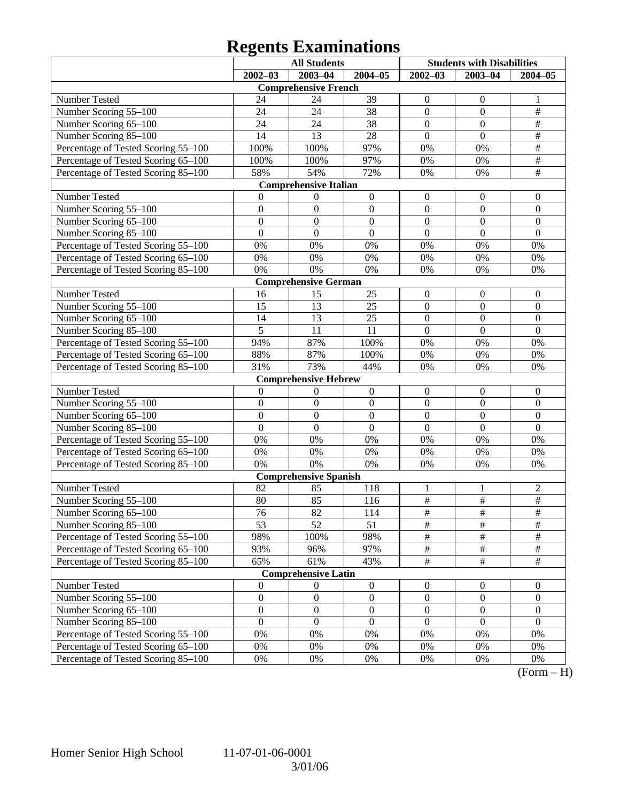# **Regents Examinations**

|                                     | <b>All Students</b><br><b>Students with Disabilities</b> |                              |                  |                  |                  |                  |  |  |  |
|-------------------------------------|----------------------------------------------------------|------------------------------|------------------|------------------|------------------|------------------|--|--|--|
|                                     | $2002 - 03$                                              | $2003 - 04$                  | $2004 - 05$      | $2002 - 03$      | $2003 - 04$      | $2004 - 05$      |  |  |  |
| <b>Comprehensive French</b>         |                                                          |                              |                  |                  |                  |                  |  |  |  |
| Number Tested                       | 24                                                       | 24                           | 39               | $\boldsymbol{0}$ | $\mathbf{0}$     | 1                |  |  |  |
| Number Scoring 55-100               | 24                                                       | 24                           | 38               | $\boldsymbol{0}$ | $\boldsymbol{0}$ | $\frac{1}{2}$    |  |  |  |
| Number Scoring 65-100               | 24                                                       | 24                           | 38               | $\boldsymbol{0}$ | $\overline{0}$   | $\overline{\#}$  |  |  |  |
| Number Scoring 85-100               | 14                                                       | 13                           | 28               | $\mathbf{0}$     | $\overline{0}$   | $\overline{\#}$  |  |  |  |
| Percentage of Tested Scoring 55-100 | 100%                                                     | 100%                         | 97%              | 0%               | 0%               | $\overline{\#}$  |  |  |  |
| Percentage of Tested Scoring 65-100 | 100%                                                     | 100%                         | 97%              | 0%               | 0%               | $\overline{\#}$  |  |  |  |
| Percentage of Tested Scoring 85-100 | 58%                                                      | 54%                          | 72%              | 0%               | 0%               | $\overline{\#}$  |  |  |  |
|                                     |                                                          | <b>Comprehensive Italian</b> |                  |                  |                  |                  |  |  |  |
| Number Tested                       | $\mathbf{0}$                                             | $\boldsymbol{0}$             | $\boldsymbol{0}$ | $\boldsymbol{0}$ | $\mathbf{0}$     | $\mathbf{0}$     |  |  |  |
| Number Scoring 55-100               | $\boldsymbol{0}$                                         | $\boldsymbol{0}$             | $\boldsymbol{0}$ | $\boldsymbol{0}$ | $\boldsymbol{0}$ | $\boldsymbol{0}$ |  |  |  |
| Number Scoring 65-100               | $\boldsymbol{0}$                                         | $\boldsymbol{0}$             | $\boldsymbol{0}$ | $\boldsymbol{0}$ | $\boldsymbol{0}$ | $\boldsymbol{0}$ |  |  |  |
| Number Scoring 85-100               | $\overline{0}$                                           | $\mathbf{0}$                 | $\overline{0}$   | $\overline{0}$   | $\overline{0}$   | $\overline{0}$   |  |  |  |
| Percentage of Tested Scoring 55-100 | 0%                                                       | 0%                           | $0\%$            | 0%               | 0%               | 0%               |  |  |  |
| Percentage of Tested Scoring 65-100 | $0\%$                                                    | 0%                           | $0\%$            | 0%               | 0%               | 0%               |  |  |  |
| Percentage of Tested Scoring 85-100 | 0%                                                       | 0%                           | $0\%$            | 0%               | 0%               | 0%               |  |  |  |
|                                     |                                                          | <b>Comprehensive German</b>  |                  |                  |                  |                  |  |  |  |
| Number Tested                       | 16                                                       | 15                           | 25               | $\boldsymbol{0}$ | $\boldsymbol{0}$ | $\boldsymbol{0}$ |  |  |  |
| Number Scoring 55-100               | 15                                                       | 13                           | 25               | $\boldsymbol{0}$ | $\boldsymbol{0}$ | $\boldsymbol{0}$ |  |  |  |
| Number Scoring 65-100               | 14                                                       | 13                           | 25               | $\boldsymbol{0}$ | $\boldsymbol{0}$ | $\boldsymbol{0}$ |  |  |  |
| Number Scoring 85-100               | 5                                                        | 11                           | 11               | $\mathbf{0}$     | $\boldsymbol{0}$ | $\mathbf{0}$     |  |  |  |
| Percentage of Tested Scoring 55-100 | 94%                                                      | 87%                          | 100%             | 0%               | 0%               | 0%               |  |  |  |
| Percentage of Tested Scoring 65-100 | 88%                                                      | 87%                          | 100%             | 0%               | 0%               | 0%               |  |  |  |
| Percentage of Tested Scoring 85-100 | 31%                                                      | 73%                          | 44%              | 0%               | 0%               | 0%               |  |  |  |
|                                     |                                                          | <b>Comprehensive Hebrew</b>  |                  |                  |                  |                  |  |  |  |
| Number Tested                       | $\boldsymbol{0}$                                         | $\boldsymbol{0}$             | $\boldsymbol{0}$ | $\boldsymbol{0}$ | $\mathbf{0}$     | $\mathbf{0}$     |  |  |  |
| Number Scoring 55-100               | $\boldsymbol{0}$                                         | $\boldsymbol{0}$             | $\boldsymbol{0}$ | $\boldsymbol{0}$ | $\boldsymbol{0}$ | $\boldsymbol{0}$ |  |  |  |
| Number Scoring 65-100               | $\boldsymbol{0}$                                         | $\boldsymbol{0}$             | $\boldsymbol{0}$ | $\boldsymbol{0}$ | $\boldsymbol{0}$ | $\boldsymbol{0}$ |  |  |  |
| Number Scoring 85-100               | $\overline{0}$                                           | $\mathbf{0}$                 | $\overline{0}$   | $\overline{0}$   | $\overline{0}$   | $\mathbf{0}$     |  |  |  |
| Percentage of Tested Scoring 55-100 | 0%                                                       | 0%                           | $0\%$            | 0%               | 0%               | 0%               |  |  |  |
| Percentage of Tested Scoring 65-100 | $0\%$                                                    | 0%                           | $0\%$            | 0%               | 0%               | 0%               |  |  |  |
| Percentage of Tested Scoring 85-100 | 0%                                                       | 0%                           | $0\%$            | 0%               | 0%               | 0%               |  |  |  |
|                                     |                                                          | <b>Comprehensive Spanish</b> |                  |                  |                  |                  |  |  |  |
| Number Tested                       | 82                                                       | 85                           | 118              | 1                | 1                | $\overline{c}$   |  |  |  |
| Number Scoring 55-100               | 80                                                       | 85                           | 116              | $\overline{\#}$  | $\overline{\#}$  | $\overline{\#}$  |  |  |  |
| Number Scoring 65-100               | 76                                                       | 82                           | 114              | #                | #                | #                |  |  |  |
| Number Scoring 85-100               | $\overline{53}$                                          | 52                           | 51               | $\overline{\#}$  | $\overline{\#}$  | $\overline{\#}$  |  |  |  |
| Percentage of Tested Scoring 55-100 | 98%                                                      | 100%                         | 98%              | #                | $\frac{1}{2}$    | $\#$             |  |  |  |
| Percentage of Tested Scoring 65-100 | 93%                                                      | 96%                          | 97%              | $\frac{1}{2}$    | #                | $\#$             |  |  |  |
| Percentage of Tested Scoring 85-100 | 65%                                                      | 61%                          | 43%              | $\overline{\#}$  | $\overline{\#}$  | $\overline{\#}$  |  |  |  |
|                                     |                                                          | <b>Comprehensive Latin</b>   |                  |                  |                  |                  |  |  |  |
| Number Tested                       | $\boldsymbol{0}$                                         | $\boldsymbol{0}$             | $\boldsymbol{0}$ | $\boldsymbol{0}$ | $\overline{0}$   | $\overline{0}$   |  |  |  |
| Number Scoring 55-100               | $\boldsymbol{0}$                                         | $\boldsymbol{0}$             | $\boldsymbol{0}$ | $\boldsymbol{0}$ | $\boldsymbol{0}$ | $\boldsymbol{0}$ |  |  |  |
| Number Scoring 65-100               | $\boldsymbol{0}$                                         | $\boldsymbol{0}$             | $\boldsymbol{0}$ | $\boldsymbol{0}$ | $\boldsymbol{0}$ | $\boldsymbol{0}$ |  |  |  |
| Number Scoring 85-100               | $\boldsymbol{0}$                                         | $\boldsymbol{0}$             | $\boldsymbol{0}$ | $\boldsymbol{0}$ | $\boldsymbol{0}$ | $\boldsymbol{0}$ |  |  |  |
| Percentage of Tested Scoring 55-100 | $0\%$                                                    | 0%                           | 0%               | 0%               | 0%               | 0%               |  |  |  |
| Percentage of Tested Scoring 65-100 | $0\%$                                                    | 0%                           | 0%               | 0%               | 0%               | 0%               |  |  |  |
| Percentage of Tested Scoring 85-100 | 0%                                                       | 0%                           | 0%               | 0%               | 0%               | 0%               |  |  |  |

 $(Form - H)$